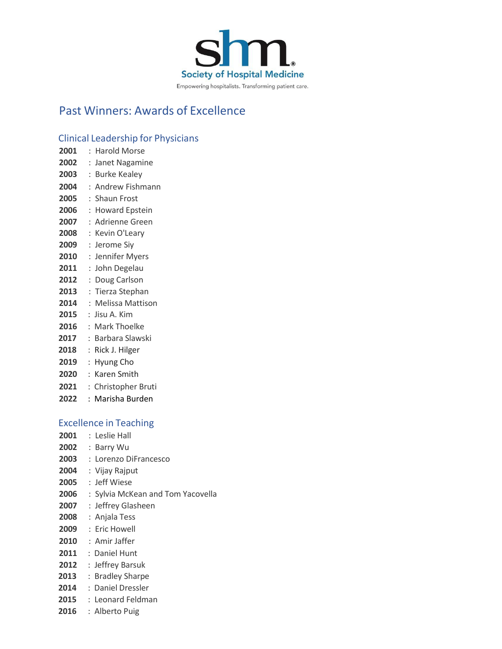

# Past Winners: Awards of Excellence

# Clinical Leadership for Physicians

| Clinical Leadership for Pl                |    |                       |
|-------------------------------------------|----|-----------------------|
| 2001                                      | ÷. | <b>Harold Morse</b>   |
| 2002                                      | ÷. | Janet Nagamine        |
| 2003                                      | ÷  | <b>Burke Kealey</b>   |
| 2004                                      |    | : Andrew Fishmann     |
| 2005                                      |    | : Shaun Frost         |
| 2006                                      | ÷. | <b>Howard Epstein</b> |
| 2007                                      |    | : Adrienne Green      |
| 2008                                      |    | : Kevin O'Leary       |
| 2009                                      |    | : Jerome Siy          |
| 2010                                      |    | : Jennifer Myers      |
| 2011                                      | ÷. | John Degelau          |
| 2012                                      | ÷  | Doug Carlson          |
| 2013                                      | ÷. | Tierza Stephan        |
| 2014                                      |    | : Melissa Mattison    |
| 2015                                      |    | :Jisu A. Kim          |
| 2016                                      |    | : Mark Thoelke        |
| $\bullet \bullet \bullet \bullet \bullet$ |    |                       |

- : Barbara Slawski
- : Rick J. Hilger
- : Hyung Cho
- : Karen Smith
- : Christopher Bruti
- : Marisha Burden

# Excellence in Teaching

- : Leslie Hall
- : Barry Wu
- : Lorenzo DiFrancesco
- : Vijay Rajput
- : Jeff Wiese
- : Sylvia McKean and Tom Yacovella
- : Jeffrey Glasheen
- : Anjala Tess
- : Eric Howell
- : Amir Jaffer
- : Daniel Hunt
- : Jeffrey Barsuk
- : Bradley Sharpe
- : Daniel Dressler
- : Leonard Feldman
- : Alberto Puig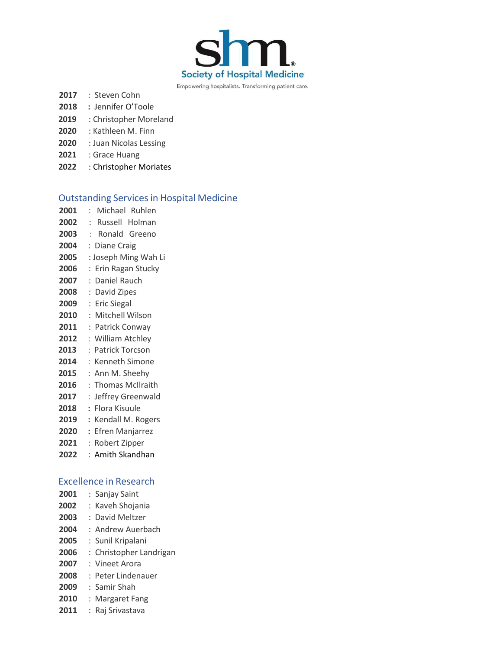

- : Steven Cohn
- **:** Jennifer O'Toole
- : Christopher Moreland
- : Kathleen M. Finn
- : Juan Nicolas Lessing
- : Grace Huang
- : Christopher Moriates

# **Outstanding Services in Hospital Medicine**

 : Michael Ruhlen : Russell Holman : Ronald Greeno : Diane Craig : Joseph Ming Wah Li : Erin Ragan Stucky : Daniel Rauch : David Zipes : Eric Siegal : Mitchell Wilson : Patrick Conway : William Atchley : Patrick Torcson : Kenneth Simone : Ann M. Sheehy 2016 : Thomas McIlraith : Jeffrey Greenwald **:** Flora Kisuule **:** Kendall M. Rogers **:** Efren Manjarrez : Robert Zipper : Amith Skandhan

Excellence in Research : Sanjay Saint : Kaveh Shojania : David Meltzer : Andrew Auerbach : Sunil Kripalani : Christopher Landrigan : Vineet Arora : Peter Lindenauer : Samir Shah : Margaret Fang : Raj Srivastava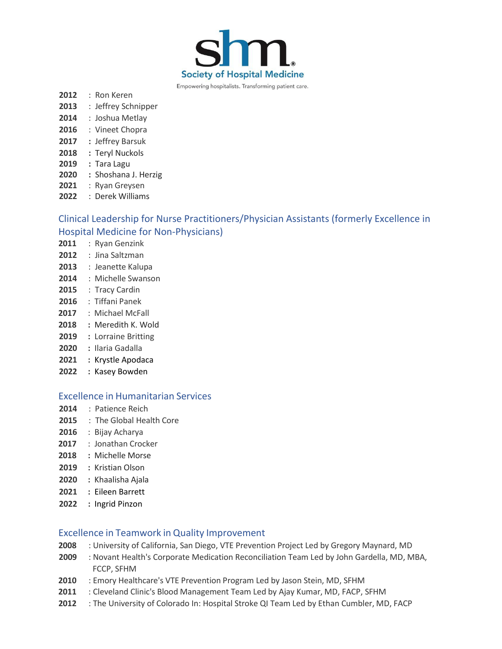

- : Ron Keren
- : Jeffrey Schnipper
- : Joshua Metlay
- : Vineet Chopra
- **:** Jeffrey Barsuk
- **:** Teryl Nuckols
- **:** Tara Lagu
- **:** Shoshana J. Herzig
- : Ryan Greysen
- : Derek Williams

# Clinical Leadership for Nurse Practitioners/Physician Assistants (formerly Excellence in Hospital Medicine for Non-Physicians)

- : Ryan Genzink
- : Jina Saltzman
- : Jeanette Kalupa
- : Michelle Swanson
- : Tracy Cardin
- : Tiffani Panek
- : Michael McFall
- **:** Meredith K. Wold
- **:** Lorraine Britting
- **:** Ilaria Gadalla
- **:** Krystle Apodaca
- **:** Kasey Bowden

#### Excellence in Humanitarian Services

- : Patience Reich
- : The Global Health Core
- : Bijay Acharya
- : Jonathan Crocker
- **:** Michelle Morse
- **:** Kristian Olson
- **:** Khaalisha Ajala
- **2021 :** Eileen Barrett
- **:** Ingrid Pinzon

# Excellence in Teamwork in Quality Improvement

- : University of California, San Diego, VTE Prevention Project Led by Gregory Maynard, MD
- : Novant Health's Corporate Medication Reconciliation Team Led by John Gardella, MD, MBA, FCCP, SFHM
- : Emory Healthcare's VTE Prevention Program Led by Jason Stein, MD, SFHM
- : Cleveland Clinic's Blood Management Team Led by Ajay Kumar, MD, FACP, SFHM
- : The University of Colorado In: Hospital Stroke QI Team Led by Ethan Cumbler, MD, FACP